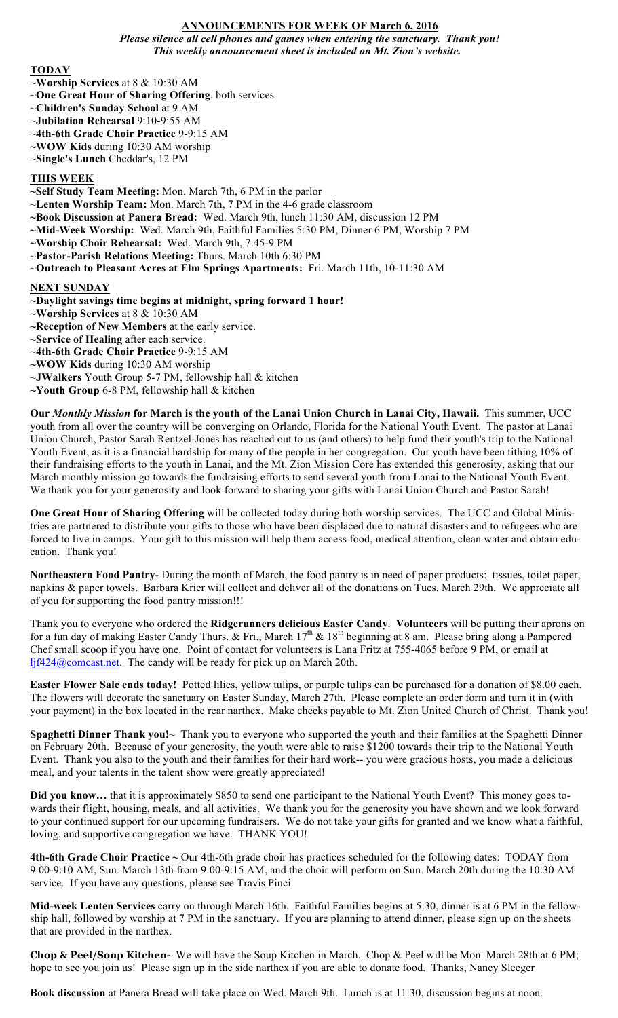#### **ANNOUNCEMENTS FOR WEEK OF March 6, 2016** *Please silence all cell phones and games when entering the sanctuary. Thank you! This weekly announcement sheet is included on Mt. Zion's website.*

## **TODAY**

- ~**Worship Services** at 8 & 10:30 AM
- ~**One Great Hour of Sharing Offering**, both services
- ~**Children's Sunday School** at 9 AM
- ~**Jubilation Rehearsal** 9:10-9:55 AM
- ~**4th-6th Grade Choir Practice** 9-9:15 AM
- **~WOW Kids** during 10:30 AM worship
- ~**Single's Lunch** Cheddar's, 12 PM

# **THIS WEEK**

- **~Self Study Team Meeting:** Mon. March 7th, 6 PM in the parlor
- ~**Lenten Worship Team:** Mon. March 7th, 7 PM in the 4-6 grade classroom
- **~Book Discussion at Panera Bread:** Wed. March 9th, lunch 11:30 AM, discussion 12 PM
- **~Mid-Week Worship:** Wed. March 9th, Faithful Families 5:30 PM, Dinner 6 PM, Worship 7 PM
- **~Worship Choir Rehearsal:** Wed. March 9th, 7:45-9 PM
- ~**Pastor-Parish Relations Meeting:** Thurs. March 10th 6:30 PM
- ~**Outreach to Pleasant Acres at Elm Springs Apartments:** Fri. March 11th, 10-11:30 AM

## **NEXT SUNDAY**

- **~Daylight savings time begins at midnight, spring forward 1 hour!**
- ~**Worship Services** at 8 & 10:30 AM
- **~Reception of New Members** at the early service.
- ~**Service of Healing** after each service.
- ~**4th-6th Grade Choir Practice** 9-9:15 AM
- **~WOW Kids** during 10:30 AM worship
- ~**JWalkers** Youth Group 5-7 PM, fellowship hall & kitchen
- **~Youth Group** 6-8 PM, fellowship hall & kitchen

**Our** *Monthly Mission* **for March is the youth of the Lanai Union Church in Lanai City, Hawaii.** This summer, UCC youth from all over the country will be converging on Orlando, Florida for the National Youth Event. The pastor at Lanai Union Church, Pastor Sarah Rentzel-Jones has reached out to us (and others) to help fund their youth's trip to the National Youth Event, as it is a financial hardship for many of the people in her congregation. Our youth have been tithing 10% of their fundraising efforts to the youth in Lanai, and the Mt. Zion Mission Core has extended this generosity, asking that our March monthly mission go towards the fundraising efforts to send several youth from Lanai to the National Youth Event. We thank you for your generosity and look forward to sharing your gifts with Lanai Union Church and Pastor Sarah!

**One Great Hour of Sharing Offering** will be collected today during both worship services. The UCC and Global Ministries are partnered to distribute your gifts to those who have been displaced due to natural disasters and to refugees who are forced to live in camps. Your gift to this mission will help them access food, medical attention, clean water and obtain education. Thank you!

**Northeastern Food Pantry-** During the month of March, the food pantry is in need of paper products: tissues, toilet paper, napkins & paper towels. Barbara Krier will collect and deliver all of the donations on Tues. March 29th. We appreciate all of you for supporting the food pantry mission!!!

Thank you to everyone who ordered the **Ridgerunners delicious Easter Candy**. **Volunteers** will be putting their aprons on for a fun day of making Easter Candy Thurs. & Fri., March  $17<sup>th</sup>$  &  $18<sup>th</sup>$  beginning at 8 am. Please bring along a Pampered Chef small scoop if you have one. Point of contact for volunteers is Lana Fritz at 755-4065 before 9 PM, or email at ljf424@comcast.net. The candy will be ready for pick up on March 20th.

**Easter Flower Sale ends today!** Potted lilies, yellow tulips, or purple tulips can be purchased for a donation of \$8.00 each. The flowers will decorate the sanctuary on Easter Sunday, March 27th. Please complete an order form and turn it in (with your payment) in the box located in the rear narthex. Make checks payable to Mt. Zion United Church of Christ. Thank you!

**Spaghetti Dinner Thank you!**~ Thank you to everyone who supported the youth and their families at the Spaghetti Dinner on February 20th. Because of your generosity, the youth were able to raise \$1200 towards their trip to the National Youth Event. Thank you also to the youth and their families for their hard work-- you were gracious hosts, you made a delicious meal, and your talents in the talent show were greatly appreciated!

**Did you know…** that it is approximately \$850 to send one participant to the National Youth Event? This money goes towards their flight, housing, meals, and all activities. We thank you for the generosity you have shown and we look forward to your continued support for our upcoming fundraisers. We do not take your gifts for granted and we know what a faithful, loving, and supportive congregation we have. THANK YOU!

**4th-6th Grade Choir Practice ~** Our 4th-6th grade choir has practices scheduled for the following dates: TODAY from 9:00-9:10 AM, Sun. March 13th from 9:00-9:15 AM, and the choir will perform on Sun. March 20th during the 10:30 AM service. If you have any questions, please see Travis Pinci.

**Mid-week Lenten Services** carry on through March 16th. Faithful Families begins at 5:30, dinner is at 6 PM in the fellowship hall, followed by worship at 7 PM in the sanctuary. If you are planning to attend dinner, please sign up on the sheets that are provided in the narthex.

**Chop & Peel/Soup Kitchen**~ We will have the Soup Kitchen in March. Chop & Peel will be Mon. March 28th at 6 PM; hope to see you join us! Please sign up in the side narthex if you are able to donate food. Thanks, Nancy Sleeger

**Book discussion** at Panera Bread will take place on Wed. March 9th. Lunch is at 11:30, discussion begins at noon.